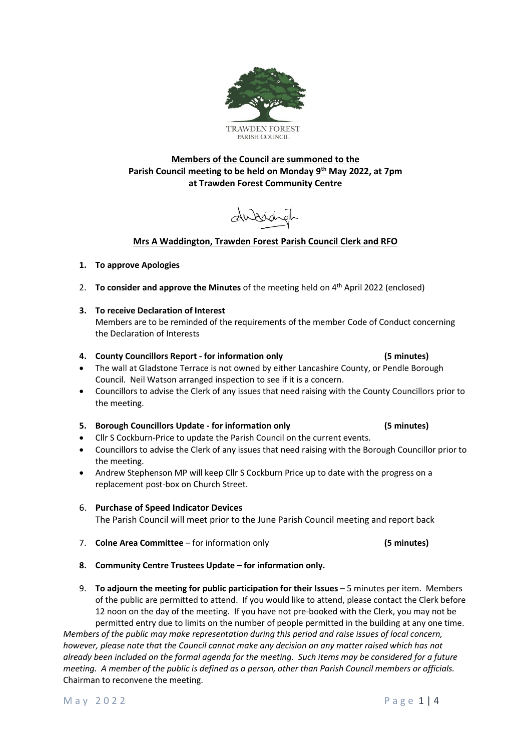# **Members of the Council are summoned to the Parish Council meeting to be held on Monday 9 th May 2022, at 7pm at Trawden Forest Community Centre**

dubodigh

# **Mrs A Waddington, Trawden Forest Parish Council Clerk and RFO**

# **1. To approve Apologies**

2. **To consider and approve the Minutes** of the meeting held on 4 th April 2022 (enclosed)

# **3. To receive Declaration of Interest**

Members are to be reminded of the requirements of the member Code of Conduct concerning the Declaration of Interests

## **4. County Councillors Report - for information only (5 minutes)**

- The wall at Gladstone Terrace is not owned by either Lancashire County, or Pendle Borough Council. Neil Watson arranged inspection to see if it is a concern.
- Councillors to advise the Clerk of any issues that need raising with the County Councillors prior to the meeting.

# **5. Borough Councillors Update - for information only (5 minutes)**

- Cllr S Cockburn-Price to update the Parish Council on the current events.
- Councillors to advise the Clerk of any issues that need raising with the Borough Councillor prior to the meeting.
- Andrew Stephenson MP will keep Cllr S Cockburn Price up to date with the progress on a replacement post-box on Church Street.

# 6. **Purchase of Speed Indicator Devices**

The Parish Council will meet prior to the June Parish Council meeting and report back

- 7. **Colne Area Committee** for information only **(5 minutes)**
- **8. Community Centre Trustees Update – for information only.**
- 9. **To adjourn the meeting for public participation for their Issues** 5 minutes per item. Members of the public are permitted to attend. If you would like to attend, please contact the Clerk before 12 noon on the day of the meeting. If you have not pre-booked with the Clerk, you may not be permitted entry due to limits on the number of people permitted in the building at any one time.

*Members of the public may make representation during this period and raise issues of local concern, however, please note that the Council cannot make any decision on any matter raised which has not already been included on the formal agenda for the meeting. Such items may be considered for a future meeting. A member of the public is defined as a person, other than Parish Council members or officials.* Chairman to reconvene the meeting.

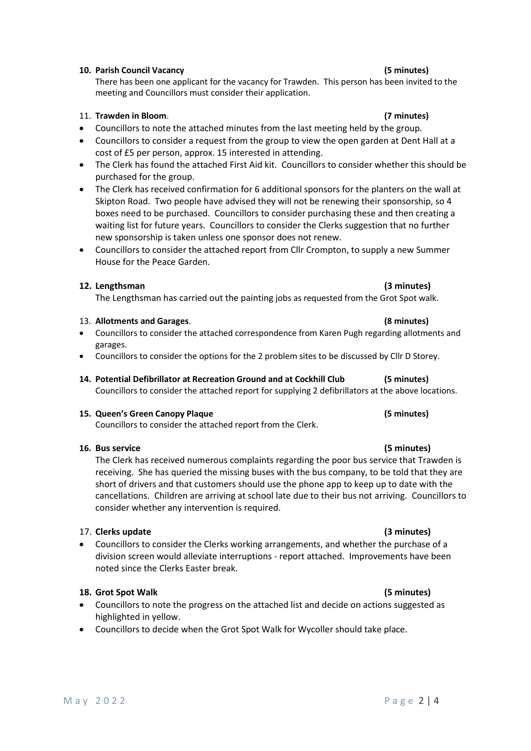# **10. Parish Council Vacancy (5 minutes)**

There has been one applicant for the vacancy for Trawden. This person has been invited to the meeting and Councillors must consider their application.

## 11. **Trawden in Bloom**. **(7 minutes)**

- Councillors to note the attached minutes from the last meeting held by the group.
- Councillors to consider a request from the group to view the open garden at Dent Hall at a cost of £5 per person, approx. 15 interested in attending.
- The Clerk has found the attached First Aid kit. Councillors to consider whether this should be purchased for the group.
- The Clerk has received confirmation for 6 additional sponsors for the planters on the wall at Skipton Road. Two people have advised they will not be renewing their sponsorship, so 4 boxes need to be purchased. Councillors to consider purchasing these and then creating a waiting list for future years. Councillors to consider the Clerks suggestion that no further new sponsorship is taken unless one sponsor does not renew.
- Councillors to consider the attached report from Cllr Crompton, to supply a new Summer House for the Peace Garden.

## **12. Lengthsman (3 minutes)**

The Lengthsman has carried out the painting jobs as requested from the Grot Spot walk.

### 13. **Allotments and Garages**. **(8 minutes)**

- Councillors to consider the attached correspondence from Karen Pugh regarding allotments and garages.
- Councillors to consider the options for the 2 problem sites to be discussed by Cllr D Storey.
- **14. Potential Defibrillator at Recreation Ground and at Cockhill Club (5 minutes)** Councillors to consider the attached report for supplying 2 defibrillators at the above locations.

### **15. Queen's Green Canopy Plaque (5 minutes)**

Councillors to consider the attached report from the Clerk.

### **16. Bus service (5 minutes)**

The Clerk has received numerous complaints regarding the poor bus service that Trawden is receiving. She has queried the missing buses with the bus company, to be told that they are short of drivers and that customers should use the phone app to keep up to date with the cancellations. Children are arriving at school late due to their bus not arriving. Councillors to consider whether any intervention is required.

### 17. **Clerks update (3 minutes)**

• Councillors to consider the Clerks working arrangements, and whether the purchase of a division screen would alleviate interruptions - report attached. Improvements have been noted since the Clerks Easter break.

### **18. Grot Spot Walk (5 minutes)**

- Councillors to note the progress on the attached list and decide on actions suggested as highlighted in yellow.
- Councillors to decide when the Grot Spot Walk for Wycoller should take place.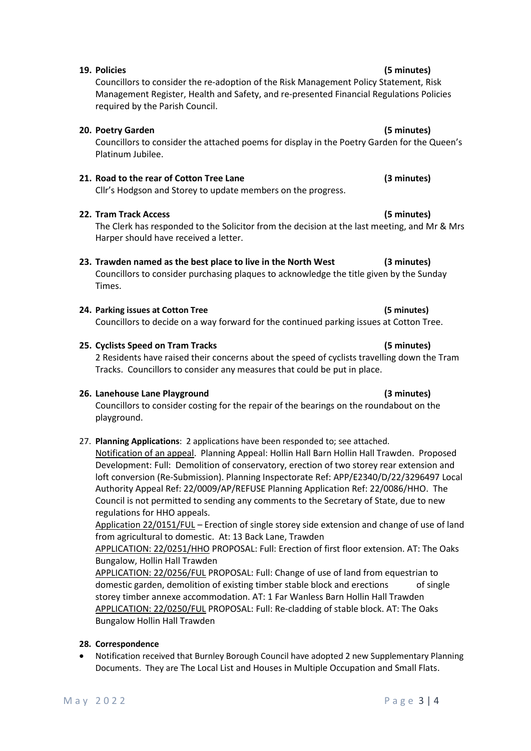# **19. Policies (5 minutes)**

Councillors to consider the re-adoption of the Risk Management Policy Statement, Risk Management Register, Health and Safety, and re-presented Financial Regulations Policies required by the Parish Council.

## **20. Poetry Garden (5 minutes)**

Councillors to consider the attached poems for display in the Poetry Garden for the Queen's Platinum Jubilee.

# **21. Road to the rear of Cotton Tree Lane (3 minutes)**

Cllr's Hodgson and Storey to update members on the progress.

### **22. Tram Track Access (5 minutes)**

The Clerk has responded to the Solicitor from the decision at the last meeting, and Mr & Mrs Harper should have received a letter.

# **23. Trawden named as the best place to live in the North West (3 minutes)**

Councillors to consider purchasing plaques to acknowledge the title given by the Sunday Times.

### **24. Parking issues at Cotton Tree (5 minutes)**

Councillors to decide on a way forward for the continued parking issues at Cotton Tree.

### **25. Cyclists Speed on Tram Tracks (5 minutes)**

2 Residents have raised their concerns about the speed of cyclists travelling down the Tram Tracks. Councillors to consider any measures that could be put in place.

### **26. Lanehouse Lane Playground (3 minutes)**

Councillors to consider costing for the repair of the bearings on the roundabout on the playground.

27. **Planning Applications**: 2 applications have been responded to; see attached.

Notification of an appeal. Planning Appeal: Hollin Hall Barn Hollin Hall Trawden. Proposed Development: Full: Demolition of conservatory, erection of two storey rear extension and loft conversion (Re-Submission). Planning Inspectorate Ref: APP/E2340/D/22/3296497 Local Authority Appeal Ref: 22/0009/AP/REFUSE Planning Application Ref: 22/0086/HHO. The Council is not permitted to sending any comments to the Secretary of State, due to new regulations for HHO appeals.

Application 22/0151/FUL – Erection of single storey side extension and change of use of land from agricultural to domestic. At: 13 Back Lane, Trawden

APPLICATION: 22/0251/HHO PROPOSAL: Full: Erection of first floor extension. AT: The Oaks Bungalow, Hollin Hall Trawden

APPLICATION: 22/0256/FUL PROPOSAL: Full: Change of use of land from equestrian to domestic garden, demolition of existing timber stable block and erections of single storey timber annexe accommodation. AT: 1 Far Wanless Barn Hollin Hall Trawden APPLICATION: 22/0250/FUL PROPOSAL: Full: Re-cladding of stable block. AT: The Oaks Bungalow Hollin Hall Trawden

### **28. Correspondence**

• Notification received that Burnley Borough Council have adopted 2 new Supplementary Planning Documents. They are The Local List and Houses in Multiple Occupation and Small Flats.